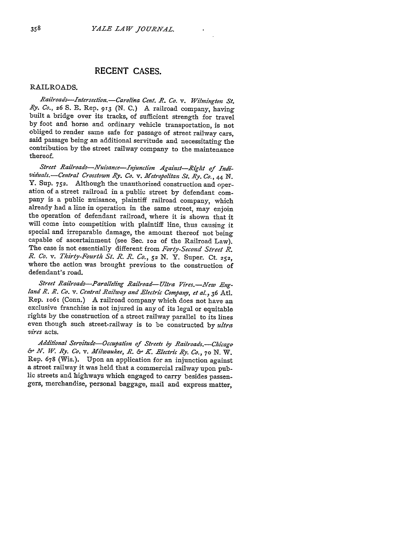# **RECENT CASES.**

# RAILROADS.

*Railroads-Intersection.-Carolina Cent. R. Co. v. Wilmington St. Ry. Co.,* **26** S. **E.** Rep. **913** (N. C.) A railroad company, having built a bridge over its tracks, of sufficient strength for travel by foot and horse and ordinary vehicle transportation, is not obliged to render same safe for passage of street railway cars, said passage being an additional servitude and necessitating the contribution by the street railway company to the maintenance thereof.

*Street Railroads-NVuisance-Tnjunetion Against-Right of Indi- viduals.-Central Crosstown Ry. Co. v. Metropolitan St. Ry. Co.,* 4 **N.** Y. Sup. **752.** Although the unauthorized construction and operation of a street railroad in a public street by defendant company is a public nuisance, plaintiff railroad company, which already had a line in operation in the same street, may enjoin the operation of defendant railroad, where it is shown that it will come into competition with plaintiff line, thus causing it special and irreparable damage, the amount thereof not being capable of ascertainment (see Sec. **102** of the Railroad Law). The case is not essentially different from *Forty-Second Street R. R. Co. v. Thirty-Fourth St. R. R. Co., 52* N. Y. Super. Ct. **252,** where the action was brought previous to the construction of defendant's road.

Street Railroads-Paralleling Railroad-Ultra Vires.-New Eng*land R. R. Co. v. Central Railway and Electric Company, et al., 36* Atl. Rep. io6i (Conn.) A railroad company which does not have an exclusive franchise is not injured in any of its legal or equitable rights by the construction of a street railway parallel to its lines even though such street-railway is to be constructed by *ultra vires* acts.

*Additional Servitude-Occupation of Streets by Railroads.-Chicaga &JN. W. By. Co. v. Milwaukee, R. &- KE lectric By. CO.,* **70** N. W. Rep. 678 (Wis.). Upon an application for an injunction against a street railway it was held that a commercial railway upon public streets and highways which engaged to carry besides passengers, merchandise, personal baggage, mail and express matter,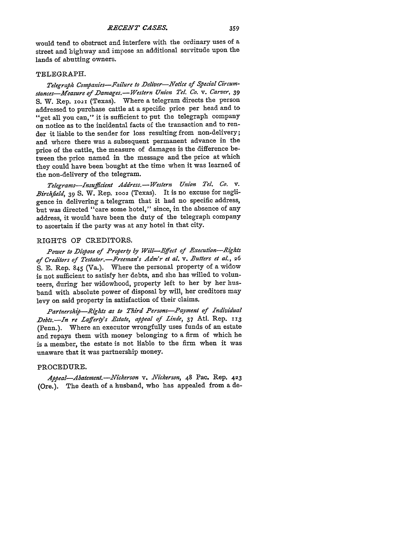would tend to obstruct and interfere with the ordinary uses of a street and highway and impose an additional servitude upon the lands of abutting owners.

#### TELEGRAPH.

Telegraph Companies-Failure to Deliver-Notice of Special Circum*stances-Measure of Damages.- Western Union Tel. Co. v. Carver,* 39 **S.** W. Rep. io2i (Texas). Where a telegram directs the person addressed to purchase cattle at a specific price per head and to "get all you can," it is sufficient to put the telegraph company on notice as to the incidental facts of the transaction and to render it liable to the sender for loss resulting from non-delivery; and where there was a subsequent permanent advance in the price of the cattle, the measure of damages is the difference between the price named in the message and the price at which they could have been bought at the time when it was learned of the non-delivery of the telegram.

*Telegrams-Insufficient Address.- Western Union Tel. Co. v. Birchfield,* 39 S. W. Rep. **1002** (Texas). It is no excuse for negligence in delivering a telegram that it had no specific address, but was directed "care some hotel," since, in the absence of any address, it would have been the duty of the telegraph company to ascertain if the party was at any hotel in that city.

### RIGHTS OF CREDITORS.

*Power to Diose of Propery by Will-Effect of Execution-Rights of Creditors of Testator.-Freeman's Adm'r et al. v. Butters et al,* **<sup>26</sup>** S. E. Rep. 845 (Va.). Where the personal property of a widow is not sufficient to satisfy her debts, and she has willed to volunteers, during her widowhood, property left to her by her husband with absolute power of disposal by will, her creditors may levy on said property in satisfaction of their claims.

*Partnershp-Rights as to Third Persons-Payment of Individual Debts.-JIn re Laffery's Estate, appeal of Linde,* 37 AtI. Rep. **i13** (Penn.). Where an executor wrongfully uses funds of an estate and repays them with money belonging to a firm of which he is a member, the estate is not liable to the firm when it was unaware that it was partnership money.

# PROCEDURE.

*Appeal-Abateent.-Vickerson v. Nickerson,* 48 Pac. Rep. 423 (Ore.). The death of a husband, who has appealed from a de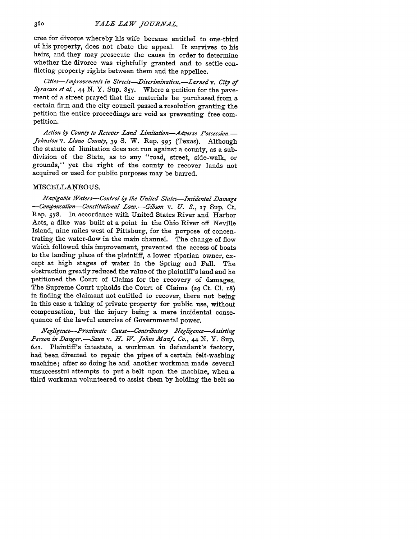cree for divorce whereby his wife became entitled to one-third of his property, does not abate the appeal. It survives to his heirs, and they may prosecute the cause in order to determine whether the divorce was rightfully granted and to settle conflicting property rights between them and the appellee.

*Cities-Ivprovements in Streets-Discrimination.-Larned v. City of Syracuse et aL, 44* N. Y. Sup. 857. Where a petition for the pavement of a street prayed that the materials be purchased from a certain firm and the city council passed a resolution granting the petition the entire proceedings are void as preventing free competition.

*Action by County to Recover Land Limitation-Adverse Possession.- Johnston v. Llano County,* 39 **S.** W. Rep. 995 (Texas). Although the statute of limitation does not run against a county, as a subdivision of the State, as to any "road, street, side-walk, or grounds," yet the right of the county to recover lands not acquired or used for public purposes may be barred.

#### MISCELLANEOUS.

*Navigable Waters-Control by the United States-Incidental Damage -Compensation-Constitutional Law.-Gibson v. U. S.,* 17 Sup. Ct. Rep. 578. In accordance with United States River and Harbor Acts, a dike was built at a point in the Ohio River off Neville Island, nine miles west of Pittsburg. for the purpose of concentrating the water-flow in the main channel. The change of flow which followed this improvement, prevented the access of boats to the landing place of the plaintiff, a lower riparian owner, except at high stages of water in the Spring and Fall. The obstruction greatly reduced the value of the plaintiff's land and he petitioned the Court of Claims for the recovery of damages. The Supreme Court upholds the Court of Claims (29 Ct. **Cl. 18)** in finding the claimant not entitled to recover, there not being in this case a taking of private property for public use, without compensation, but the injury being a mere incidental consequence of the lawful exercise of Governmental power.

*Negligence-Proximate Cause-Contributory Negligence-Assisting* Person in Danger.-Saun v. *H. W. Johns Manf. Co.*, 44 N. Y. Sup. 641. Plaintiff's intestate, a workman in defendant's factory, had been directed to repair the pipes of a certain felt-washing machine; after so doing he and another workman made several unsuccessful attempts to put a belt upon the machine, when a third workman volunteered to assist them by holding the belt so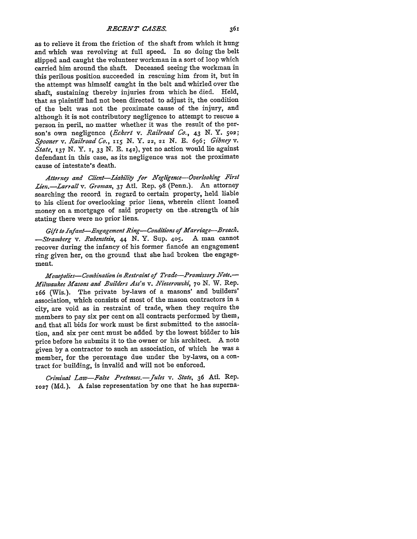*RECENT CASES.*

as to relieve it from the friction of the shaft from which it hung and which was revolving at full speed. In so doing the belt slipped and caught the volunteer workman in a sort of loop which carried him around the shaft. Deceased seeing the workman in this perilous position succeeded in rescuing him from it, but in the attempt was himself caught in the belt and whirled over the shaft, sustaining thereby injuries from which he died. Held, that as plaintiff had not been directed to adjust it, the condition of the belt was not the proximate cause of the injury, and although it is not contributory negligence to attempt to rescue a person in peril, no matter whether it was the result of the person's own negligence *(Eckert v. Railroad CO., 43* N. Y. **502;** *Spooner v. Railroad Co., 115 N.* Y. **22, 21 N. E. 696;** *Gibney v. State, 137* N. Y. 1, **33** N. **E. 142),** yet no action would lie against defendant in this case, as its negligence was not the proximate cause of intestate's death.

*Attorney and Client-Liabiliy for Nregligence-Overlooking First Lien.-Larrall v. Groman,* 37 Atl. Rep. **98** (Penn.). An attorney searching the record in regard to certain property, held liable to his client for overlooking prior liens, wherein client loaned money on a mortgage of said property on the **.**strength of his stating there were no prior liens.

*Gift to Infant-Engagement Ring Conditions of Marriage-Breacli. -Stramberg v. Rubenstein, 44* N. Y. Sup. 405. **A** man cannot recover during the infancy of his former fiancée an engagement ring given her, on the ground that she had broken the engagement.

*Monoolies-Combination in Restraint of Trade-Promissory Note.- Milwaukee Mfasons and Builders Ass'n v. Niezerowski,* **70** N. W. Rep. i66 (Wis.). The private by-laws of a masons' and builders' association, which consists of most of the mason contractors in a city, are void as in restraint of trade, when they require the members to pay six per cent on all contracts performed by them, and that all bids for work must be first submitted to the association, and six per cent must be added by the lowest bidder to his price before he submits it to the owner or his architect. A note given by a contractor to such an association, of which he was a member, for the percentage due under the by-laws, on a contract for building, is invalid and will not be enforced.

*Criminal Law-False Pretenses.-Jules v. State,* **36** Atl. Rep. **X027** (Md.). A false representation by one that he has superna